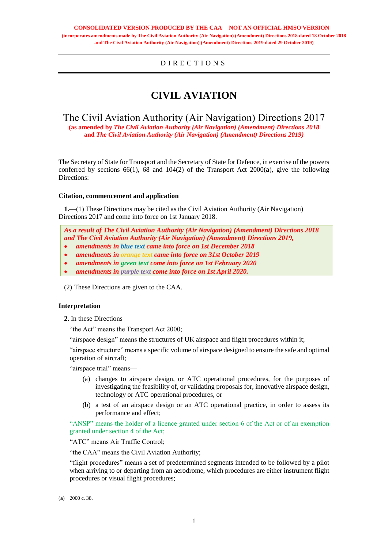# D I R E C T I O N S

# **CIVIL AVIATION**

# The Civil Aviation Authority (Air Navigation) Directions 2017

**(as amended by** *The Civil Aviation Authority (Air Navigation) (Amendment) Directions 2018* **and** *The Civil Aviation Authority (Air Navigation) (Amendment) Directions 2019)*

The Secretary of State for Transport and the Secretary of State for Defence, in exercise of the powers conferred by sections 66(1), 68 and 104(2) of the Transport Act 2000(**a**), give the following Directions:

# **Citation, commencement and application**

**1.**—(1) These Directions may be cited as the Civil Aviation Authority (Air Navigation) Directions 2017 and come into force on 1st January 2018.

*As a result of The Civil Aviation Authority (Air Navigation) (Amendment) Directions 2018 and The Civil Aviation Authority (Air Navigation) (Amendment) Directions 2019,*  • *amendments in blue text came into force on 1st December 2018* • *amendments in orange text came into force on 31st October 2019*

• *amendments in green text come into force on 1st February 2020*

• *amendments in purple text come into force on 1st April 2020.*

(2) These Directions are given to the CAA.

# **Interpretation**

**2.** In these Directions—

"the Act" means the Transport Act 2000;

"airspace design" means the structures of UK airspace and flight procedures within it;

"airspace structure" means a specific volume of airspace designed to ensure the safe and optimal operation of aircraft;

"airspace trial" means—

- (a) changes to airspace design, or ATC operational procedures, for the purposes of investigating the feasibility of, or validating proposals for, innovative airspace design, technology or ATC operational procedures, or
- (b) a test of an airspace design or an ATC operational practice, in order to assess its performance and effect;

"ANSP" means the holder of a licence granted under section 6 of the Act or of an exemption granted under section 4 of the Act;

"ATC" means Air Traffic Control;

"the CAA" means the Civil Aviation Authority;

"flight procedures" means a set of predetermined segments intended to be followed by a pilot when arriving to or departing from an aerodrome, which procedures are either instrument flight procedures or visual flight procedures;

 $\overline{a}$ 

<sup>(</sup>**a**) 2000 c. 38.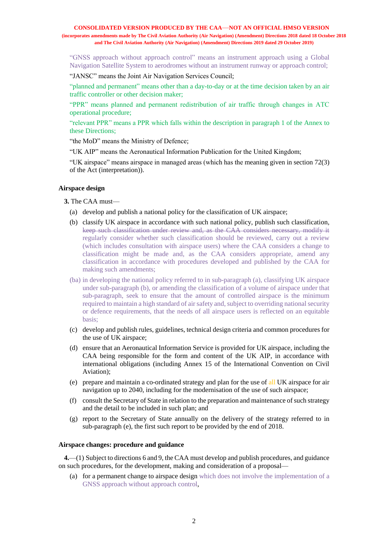"GNSS approach without approach control" means an instrument approach using a Global Navigation Satellite System to aerodromes without an instrument runway or approach control;

"JANSC" means the Joint Air Navigation Services Council;

"planned and permanent" means other than a day-to-day or at the time decision taken by an air traffic controller or other decision maker;

"PPR" means planned and permanent redistribution of air traffic through changes in ATC operational procedure;

"relevant PPR" means a PPR which falls within the description in paragraph 1 of the Annex to these Directions;

"the MoD" means the Ministry of Defence;

"UK AIP" means the Aeronautical Information Publication for the United Kingdom;

"UK airspace" means airspace in managed areas (which has the meaning given in section 72(3) of the Act (interpretation)).

# **Airspace design**

**3.** The CAA must—

- (a) develop and publish a national policy for the classification of UK airspace;
- (b) classify UK airspace in accordance with such national policy, publish such classification, keep such classification under review and, as the CAA considers necessary, modify it regularly consider whether such classification should be reviewed, carry out a review (which includes consultation with airspace users) where the CAA considers a change to classification might be made and, as the CAA considers appropriate, amend any classification in accordance with procedures developed and published by the CAA for making such amendments;
- (ba) in developing the national policy referred to in sub-paragraph (a), classifying UK airspace under sub-paragraph (b), or amending the classification of a volume of airspace under that sub-paragraph, seek to ensure that the amount of controlled airspace is the minimum required to maintain a high standard of air safety and, subject to overriding national security or defence requirements, that the needs of all airspace users is reflected on an equitable basis;
- (c) develop and publish rules, guidelines, technical design criteria and common procedures for the use of UK airspace;
- (d) ensure that an Aeronautical Information Service is provided for UK airspace, including the CAA being responsible for the form and content of the UK AIP, in accordance with international obligations (including Annex 15 of the International Convention on Civil Aviation);
- (e) prepare and maintain a co-ordinated strategy and plan for the use of all UK airspace for air navigation up to 2040, including for the modernisation of the use of such airspace;
- (f) consult the Secretary of State in relation to the preparation and maintenance of such strategy and the detail to be included in such plan; and
- (g) report to the Secretary of State annually on the delivery of the strategy referred to in sub-paragraph (e), the first such report to be provided by the end of 2018.

# **Airspace changes: procedure and guidance**

**4.**—(1) Subject to directions 6 and 9, the CAA must develop and publish procedures, and guidance on such procedures, for the development, making and consideration of a proposal—

(a) for a permanent change to airspace design which does not involve the implementation of a GNSS approach without approach control,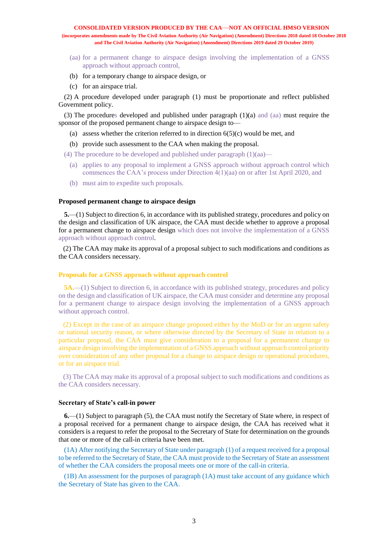- (aa) for a permanent change to airspace design involving the implementation of a GNSS approach without approach control,
- (b) for a temporary change to airspace design, or
- (c) for an airspace trial.

(2) A procedure developed under paragraph (1) must be proportionate and reflect published Government policy.

(3) The procedures developed and published under paragraph (1)(a) and (aa) must require the sponsor of the proposed permanent change to airspace design to—

- (a) assess whether the criterion referred to in direction  $6(5)(c)$  would be met, and
- (b) provide such assessment to the CAA when making the proposal.

(4) The procedure to be developed and published under paragraph (1)(aa)—

- (a) applies to any proposal to implement a GNSS approach without approach control which commences the CAA's process under Direction 4(1)(aa) on or after 1st April 2020, and
- (b) must aim to expedite such proposals.

#### **Proposed permanent change to airspace design**

**5.**—(1) Subject to direction 6, in accordance with its published strategy, procedures and policy on the design and classification of UK airspace, the CAA must decide whether to approve a proposal for a permanent change to airspace design which does not involve the implementation of a GNSS approach without approach control.

(2) The CAA may make its approval of a proposal subject to such modifications and conditions as the CAA considers necessary.

# **Proposals for a GNSS approach without approach control**

**5A.**—(1) Subject to direction 6, in accordance with its published strategy, procedures and policy on the design and classification of UK airspace, the CAA must consider and determine any proposal for a permanent change to airspace design involving the implementation of a GNSS approach without approach control.

(2) Except in the case of an airspace change proposed either by the MoD or for an urgent safety or national security reason, or where otherwise directed by the Secretary of State in relation to a particular proposal, the CAA must give consideration to a proposal for a permanent change to airspace design involving the implementation of a GNSS approach without approach control priority over consideration of any other proposal for a change to airspace design or operational procedures, or for an airspace trial.

(3) The CAA may make its approval of a proposal subject to such modifications and conditions as the CAA considers necessary.

# **Secretary of State's call-in power**

**6.**—(1) Subject to paragraph (5), the CAA must notify the Secretary of State where, in respect of a proposal received for a permanent change to airspace design, the CAA has received what it considers is a request to refer the proposal to the Secretary of State for determination on the grounds that one or more of the call-in criteria have been met.

(1A) After notifying the Secretary of State under paragraph (1) of a request received for a proposal to be referred to the Secretary of State, the CAA must provide to the Secretary of State an assessment of whether the CAA considers the proposal meets one or more of the call-in criteria.

(1B) An assessment for the purposes of paragraph (1A) must take account of any guidance which the Secretary of State has given to the CAA.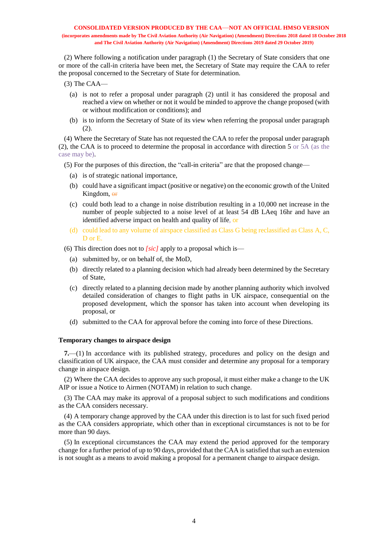(2) Where following a notification under paragraph (1) the Secretary of State considers that one or more of the call-in criteria have been met, the Secretary of State may require the CAA to refer the proposal concerned to the Secretary of State for determination.

- (3) The CAA—
	- (a) is not to refer a proposal under paragraph (2) until it has considered the proposal and reached a view on whether or not it would be minded to approve the change proposed (with or without modification or conditions); and
	- (b) is to inform the Secretary of State of its view when referring the proposal under paragraph (2).

(4) Where the Secretary of State has not requested the CAA to refer the proposal under paragraph (2), the CAA is to proceed to determine the proposal in accordance with direction 5 or 5A (as the case may be).

(5) For the purposes of this direction, the "call-in criteria" are that the proposed change—

- (a) is of strategic national importance,
- (b) could have a significant impact (positive or negative) on the economic growth of the United Kingdom, or
- (c) could both lead to a change in noise distribution resulting in a 10,000 net increase in the number of people subjected to a noise level of at least 54 dB LAeq 16hr and have an identified adverse impact on health and quality of life, or
- (d) could lead to any volume of airspace classified as Class G being reclassified as Class A, C, D or E.

(6) This direction does not to *[sic]* apply to a proposal which is—

- (a) submitted by, or on behalf of, the MoD,
- (b) directly related to a planning decision which had already been determined by the Secretary of State,
- (c) directly related to a planning decision made by another planning authority which involved detailed consideration of changes to flight paths in UK airspace, consequential on the proposed development, which the sponsor has taken into account when developing its proposal, or
- (d) submitted to the CAA for approval before the coming into force of these Directions.

# **Temporary changes to airspace design**

**7.**—(1) In accordance with its published strategy, procedures and policy on the design and classification of UK airspace, the CAA must consider and determine any proposal for a temporary change in airspace design.

(2) Where the CAA decides to approve any such proposal, it must either make a change to the UK AIP or issue a Notice to Airmen (NOTAM) in relation to such change.

(3) The CAA may make its approval of a proposal subject to such modifications and conditions as the CAA considers necessary.

(4) A temporary change approved by the CAA under this direction is to last for such fixed period as the CAA considers appropriate, which other than in exceptional circumstances is not to be for more than 90 days.

(5) In exceptional circumstances the CAA may extend the period approved for the temporary change for a further period of up to 90 days, provided that the CAA is satisfied that such an extension is not sought as a means to avoid making a proposal for a permanent change to airspace design.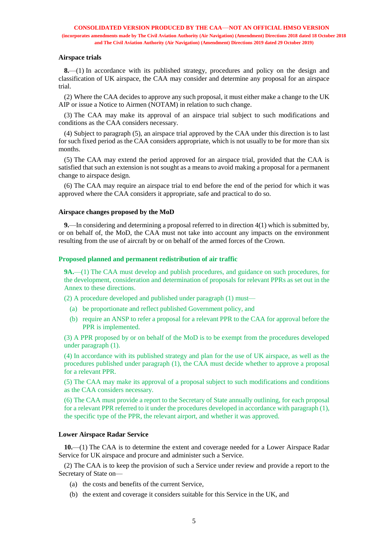#### **Airspace trials**

**8.**—(1) In accordance with its published strategy, procedures and policy on the design and classification of UK airspace, the CAA may consider and determine any proposal for an airspace trial.

(2) Where the CAA decides to approve any such proposal, it must either make a change to the UK AIP or issue a Notice to Airmen (NOTAM) in relation to such change.

(3) The CAA may make its approval of an airspace trial subject to such modifications and conditions as the CAA considers necessary.

(4) Subject to paragraph (5), an airspace trial approved by the CAA under this direction is to last for such fixed period as the CAA considers appropriate, which is not usually to be for more than six months.

(5) The CAA may extend the period approved for an airspace trial, provided that the CAA is satisfied that such an extension is not sought as a means to avoid making a proposal for a permanent change to airspace design.

(6) The CAA may require an airspace trial to end before the end of the period for which it was approved where the CAA considers it appropriate, safe and practical to do so.

#### **Airspace changes proposed by the MoD**

**9.**—In considering and determining a proposal referred to in direction 4(1) which is submitted by, or on behalf of, the MoD, the CAA must not take into account any impacts on the environment resulting from the use of aircraft by or on behalf of the armed forces of the Crown.

#### **Proposed planned and permanent redistribution of air traffic**

**9A.**—(1) The CAA must develop and publish procedures, and guidance on such procedures, for the development, consideration and determination of proposals for relevant PPRs as set out in the Annex to these directions.

(2) A procedure developed and published under paragraph (1) must—

- (a) be proportionate and reflect published Government policy, and
- (b) require an ANSP to refer a proposal for a relevant PPR to the CAA for approval before the PPR is implemented.

(3) A PPR proposed by or on behalf of the MoD is to be exempt from the procedures developed under paragraph (1).

(4) In accordance with its published strategy and plan for the use of UK airspace, as well as the procedures published under paragraph (1), the CAA must decide whether to approve a proposal for a relevant PPR.

(5) The CAA may make its approval of a proposal subject to such modifications and conditions as the CAA considers necessary.

(6) The CAA must provide a report to the Secretary of State annually outlining, for each proposal for a relevant PPR referred to it under the procedures developed in accordance with paragraph (1), the specific type of the PPR, the relevant airport, and whether it was approved.

# **Lower Airspace Radar Service**

**10.**—(1) The CAA is to determine the extent and coverage needed for a Lower Airspace Radar Service for UK airspace and procure and administer such a Service.

(2) The CAA is to keep the provision of such a Service under review and provide a report to the Secretary of State on—

- (a) the costs and benefits of the current Service,
- (b) the extent and coverage it considers suitable for this Service in the UK, and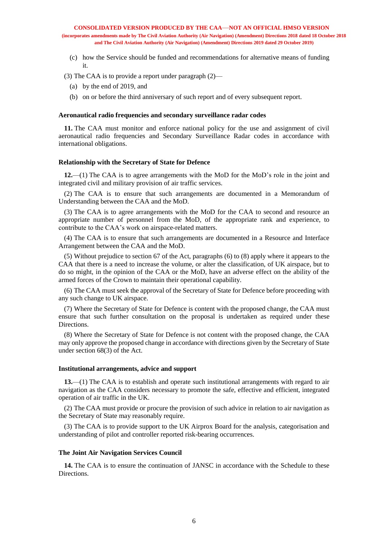(c) how the Service should be funded and recommendations for alternative means of funding it.

(3) The CAA is to provide a report under paragraph (2)—

- (a) by the end of 2019, and
- (b) on or before the third anniversary of such report and of every subsequent report.

#### **Aeronautical radio frequencies and secondary surveillance radar codes**

**11.** The CAA must monitor and enforce national policy for the use and assignment of civil aeronautical radio frequencies and Secondary Surveillance Radar codes in accordance with international obligations.

#### **Relationship with the Secretary of State for Defence**

**12.**—(1) The CAA is to agree arrangements with the MoD for the MoD's role in the joint and integrated civil and military provision of air traffic services.

(2) The CAA is to ensure that such arrangements are documented in a Memorandum of Understanding between the CAA and the MoD.

(3) The CAA is to agree arrangements with the MoD for the CAA to second and resource an appropriate number of personnel from the MoD, of the appropriate rank and experience, to contribute to the CAA's work on airspace-related matters.

(4) The CAA is to ensure that such arrangements are documented in a Resource and Interface Arrangement between the CAA and the MoD.

(5) Without prejudice to section 67 of the Act, paragraphs (6) to (8) apply where it appears to the CAA that there is a need to increase the volume, or alter the classification, of UK airspace, but to do so might, in the opinion of the CAA or the MoD, have an adverse effect on the ability of the armed forces of the Crown to maintain their operational capability.

(6) The CAA must seek the approval of the Secretary of State for Defence before proceeding with any such change to UK airspace.

(7) Where the Secretary of State for Defence is content with the proposed change, the CAA must ensure that such further consultation on the proposal is undertaken as required under these Directions.

(8) Where the Secretary of State for Defence is not content with the proposed change, the CAA may only approve the proposed change in accordance with directions given by the Secretary of State under section 68(3) of the Act.

#### **Institutional arrangements, advice and support**

**13.**—(1) The CAA is to establish and operate such institutional arrangements with regard to air navigation as the CAA considers necessary to promote the safe, effective and efficient, integrated operation of air traffic in the UK.

(2) The CAA must provide or procure the provision of such advice in relation to air navigation as the Secretary of State may reasonably require.

(3) The CAA is to provide support to the UK Airprox Board for the analysis, categorisation and understanding of pilot and controller reported risk-bearing occurrences.

#### **The Joint Air Navigation Services Council**

**14.** The CAA is to ensure the continuation of JANSC in accordance with the Schedule to these Directions.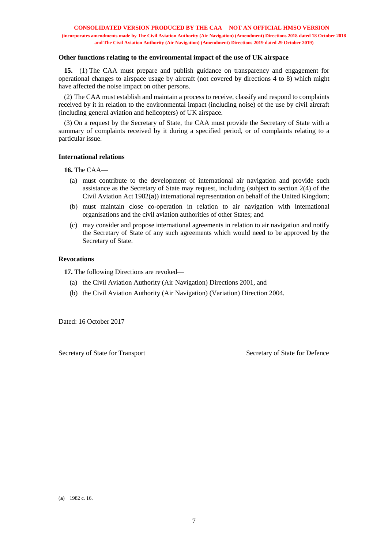## **Other functions relating to the environmental impact of the use of UK airspace**

**15.**—(1) The CAA must prepare and publish guidance on transparency and engagement for operational changes to airspace usage by aircraft (not covered by directions 4 to 8) which might have affected the noise impact on other persons.

(2) The CAA must establish and maintain a process to receive, classify and respond to complaints received by it in relation to the environmental impact (including noise) of the use by civil aircraft (including general aviation and helicopters) of UK airspace.

(3) On a request by the Secretary of State, the CAA must provide the Secretary of State with a summary of complaints received by it during a specified period, or of complaints relating to a particular issue.

#### **International relations**

**16.** The CAA—

- (a) must contribute to the development of international air navigation and provide such assistance as the Secretary of State may request, including (subject to section 2(4) of the Civil Aviation Act 1982(**a**)) international representation on behalf of the United Kingdom;
- (b) must maintain close co-operation in relation to air navigation with international organisations and the civil aviation authorities of other States; and
- (c) may consider and propose international agreements in relation to air navigation and notify the Secretary of State of any such agreements which would need to be approved by the Secretary of State.

# **Revocations**

**17.** The following Directions are revoked—

- (a) the Civil Aviation Authority (Air Navigation) Directions 2001, and
- (b) the Civil Aviation Authority (Air Navigation) (Variation) Direction 2004.

Dated: 16 October 2017

Secretary of State for Transport Secretary of State for Defence

 $\overline{a}$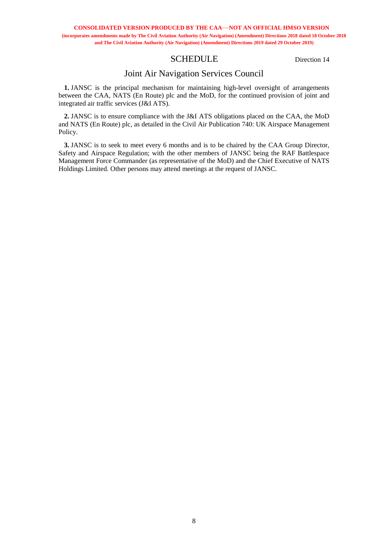# SCHEDULE Direction 14

# Joint Air Navigation Services Council

**1.** JANSC is the principal mechanism for maintaining high-level oversight of arrangements between the CAA, NATS (En Route) plc and the MoD, for the continued provision of joint and integrated air traffic services (J&I ATS).

**2.** JANSC is to ensure compliance with the J&I ATS obligations placed on the CAA, the MoD and NATS (En Route) plc, as detailed in the Civil Air Publication 740: UK Airspace Management Policy.

**3.** JANSC is to seek to meet every 6 months and is to be chaired by the CAA Group Director, Safety and Airspace Regulation; with the other members of JANSC being the RAF Battlespace Management Force Commander (as representative of the MoD) and the Chief Executive of NATS Holdings Limited. Other persons may attend meetings at the request of JANSC.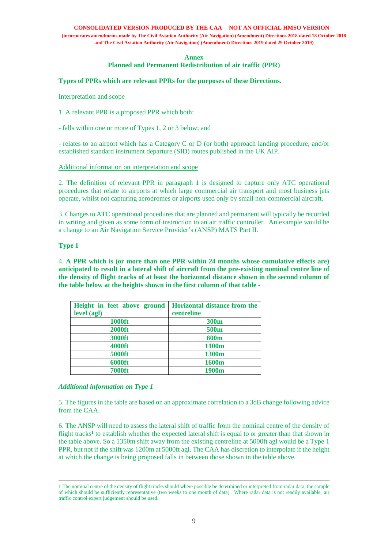#### **CONSOLIDATED VERSION PRODUCED BY THE CAA**—**NOT AN OFFICIAL HMSO VERSION**

**(incorporates amendments made by The Civil Aviation Authority (Air Navigation) (Amendment) Directions 2018 dated 18 October 2018 and The Civil Aviation Authority (Air Navigation) (Amendment) Directions 2019 dated 29 October 2019)**

#### **Annex**

**Planned and Permanent Redistribution of air traffic (PPR)**

## **Types of PPRs which are relevant PPRs for the purposes of these Directions.**

#### Interpretation and scope

1. A relevant PPR is a proposed PPR which both:

- falls within one or more of Types 1, 2 or 3 below; and

- relates to an airport which has a Category C or D (or both) approach landing procedure, and/or established standard instrument departure (SID) routes published in the UK AIP.

Additional information on interpretation and scope

2. The definition of relevant PPR in paragraph 1 is designed to capture only ATC operational procedures that relate to airports at which large commercial air transport and most business jets operate, whilst not capturing aerodromes or airports used only by small non-commercial aircraft.

3. Changes to ATC operational procedures that are planned and permanent will typically be recorded in writing and given as some form of instruction to an air traffic controller. An example would be a change to an Air Navigation Service Provider's (ANSP) MATS Part II.

#### **Type 1**

 $\overline{a}$ 

4. **A PPR which is (or more than one PPR within 24 months whose cumulative effects are) anticipated to result in a lateral shift of aircraft from the pre-existing nominal centre line of the density of flight tracks of at least the horizontal distance shown in the second column of the table below at the heights shown in the first column of that table -**

| Height in feet above ground | <b>Horizontal distance from the</b> |
|-----------------------------|-------------------------------------|
| level (agl)                 | centreline                          |
| <b>1000ft</b>               | 300 <sub>m</sub>                    |
| <b>2000ft</b>               | 500m                                |
| 3000ft                      | <b>800m</b>                         |
| <b>4000ft</b>               | 1100m                               |
| 5000ft                      | 1300m                               |
| <b>6000ft</b>               | 1600m                               |
| <b>7000ft</b>               | 1900m                               |

#### *Additional information on Type 1*

5. The figures in the table are based on an approximate correlation to a 3dB change following advice from the CAA.

6. The ANSP will need to assess the lateral shift of traffic from the nominal centre of the density of flight tracks<sup>1</sup> to establish whether the expected lateral shift is equal to or greater than that shown in the table above. So a 1350m shift away from the existing centreline at 5000ft agl would be a Type 1 PPR, but not if the shift was 1200m at 5000ft agl. The CAA has discretion to interpolate if the height at which the change is being proposed falls in between those shown in the table above.

**<sup>1</sup>** The nominal centre of the density of flight tracks should where possible be determined or interpreted from radar data, the sample of which should be sufficiently representative (two weeks to one month of data). Where radar data is not readily available, air traffic control expert judgement should be used.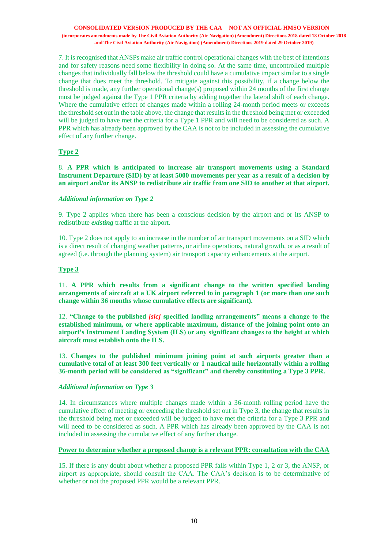7. It is recognised that ANSPs make air traffic control operational changes with the best of intentions and for safety reasons need some flexibility in doing so. At the same time, uncontrolled multiple changes that individually fall below the threshold could have a cumulative impact similar to a single change that does meet the threshold. To mitigate against this possibility, if a change below the threshold is made, any further operational change(s) proposed within 24 months of the first change must be judged against the Type 1 PPR criteria by adding together the lateral shift of each change. Where the cumulative effect of changes made within a rolling 24-month period meets or exceeds the threshold set out in the table above, the change that results in the threshold being met or exceeded will be judged to have met the criteria for a Type 1 PPR and will need to be considered as such. A PPR which has already been approved by the CAA is not to be included in assessing the cumulative effect of any further change.

# **Type 2**

8. **A PPR which is anticipated to increase air transport movements using a Standard Instrument Departure (SID) by at least 5000 movements per year as a result of a decision by an airport and/or its ANSP to redistribute air traffic from one SID to another at that airport.** 

# *Additional information on Type 2*

9. Type 2 applies when there has been a conscious decision by the airport and or its ANSP to redistribute *existing* traffic at the airport.

10. Type 2 does not apply to an increase in the number of air transport movements on a SID which is a direct result of changing weather patterns, or airline operations, natural growth, or as a result of agreed (i.e. through the planning system) air transport capacity enhancements at the airport.

# **Type 3**

11. **A PPR which results from a significant change to the written specified landing arrangements of aircraft at a UK airport referred to in paragraph 1 (or more than one such change within 36 months whose cumulative effects are significant).** 

12. **"Change to the published** *[sic]* **specified landing arrangements" means a change to the established minimum, or where applicable maximum, distance of the joining point onto an airport's Instrument Landing System (ILS) or any significant changes to the height at which aircraft must establish onto the ILS.** 

13. **Changes to the published minimum joining point at such airports greater than a cumulative total of at least 300 feet vertically or 1 nautical mile horizontally within a rolling 36-month period will be considered as "significant" and thereby constituting a Type 3 PPR.**

# *Additional information on Type 3*

14. In circumstances where multiple changes made within a 36-month rolling period have the cumulative effect of meeting or exceeding the threshold set out in Type 3, the change that results in the threshold being met or exceeded will be judged to have met the criteria for a Type 3 PPR and will need to be considered as such. A PPR which has already been approved by the CAA is not included in assessing the cumulative effect of any further change.

# **Power to determine whether a proposed change is a relevant PPR: consultation with the CAA**

15. If there is any doubt about whether a proposed PPR falls within Type 1, 2 or 3, the ANSP, or airport as appropriate, should consult the CAA. The CAA's decision is to be determinative of whether or not the proposed PPR would be a relevant PPR.